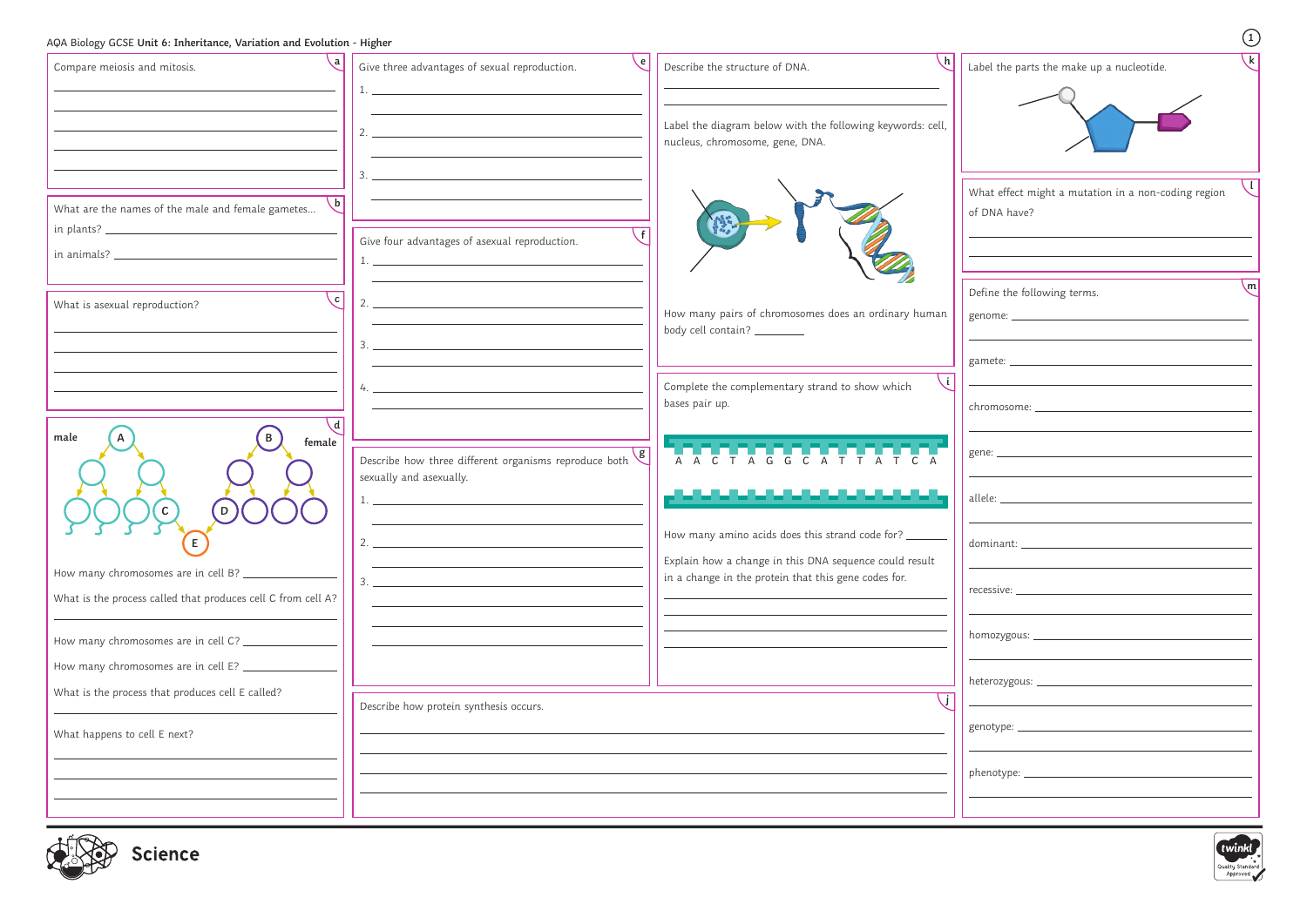| AQA Biology GCSE Unit 6: Inheritance, Variation and Evolution - Higher |                                                                                                                                                                                                                                                                                                                                                                         |                                                                                                                |                                                                                                                       | $\begin{pmatrix} 1 \end{pmatrix}$ |
|------------------------------------------------------------------------|-------------------------------------------------------------------------------------------------------------------------------------------------------------------------------------------------------------------------------------------------------------------------------------------------------------------------------------------------------------------------|----------------------------------------------------------------------------------------------------------------|-----------------------------------------------------------------------------------------------------------------------|-----------------------------------|
| Compare meiosis and mitosis.                                           | $\backslash$ e  <br>Give three advantages of sexual reproduction.                                                                                                                                                                                                                                                                                                       | \h  <br>Describe the structure of DNA.                                                                         | Label the parts the make up a nucleotide.                                                                             |                                   |
|                                                                        | 2.                                                                                                                                                                                                                                                                                                                                                                      | Label the diagram below with the following keywords: cell,<br>nucleus, chromosome, gene, DNA.                  |                                                                                                                       |                                   |
| What are the names of the male and female gametes                      | 3.                                                                                                                                                                                                                                                                                                                                                                      |                                                                                                                | What effect might a mutation in a non-coding region<br>of DNA have?                                                   |                                   |
|                                                                        | Give four advantages of asexual reproduction.<br>$1.$ $\frac{1}{2}$ $\frac{1}{2}$ $\frac{1}{2}$ $\frac{1}{2}$ $\frac{1}{2}$ $\frac{1}{2}$ $\frac{1}{2}$ $\frac{1}{2}$ $\frac{1}{2}$ $\frac{1}{2}$ $\frac{1}{2}$ $\frac{1}{2}$ $\frac{1}{2}$ $\frac{1}{2}$ $\frac{1}{2}$ $\frac{1}{2}$ $\frac{1}{2}$ $\frac{1}{2}$ $\frac{1}{2}$ $\frac{1}{2}$ $\frac{1}{2}$ $\frac{1}{$ |                                                                                                                |                                                                                                                       |                                   |
| 、c  <br>What is asexual reproduction?                                  | 2.                                                                                                                                                                                                                                                                                                                                                                      | How many pairs of chromosomes does an ordinary human                                                           | Define the following terms.                                                                                           | $\mathsf{m}$                      |
|                                                                        |                                                                                                                                                                                                                                                                                                                                                                         | body cell contain? ________                                                                                    |                                                                                                                       |                                   |
| \ d                                                                    | $4. \_$                                                                                                                                                                                                                                                                                                                                                                 | ا i \<br>Complete the complementary strand to show which<br>bases pair up.                                     | <u> 1989 - Johann Barn, mars eta bainar eta industrial eta baina eta baina eta baina eta baina eta baina eta bain</u> |                                   |
| male<br>female                                                         | Describe how three different organisms reproduce both $g$<br>sexually and asexually.                                                                                                                                                                                                                                                                                    | N TA C T A G G C A T T A T C A                                                                                 |                                                                                                                       |                                   |
| $\mathsf{C}$<br>D<br>YYYY                                              |                                                                                                                                                                                                                                                                                                                                                                         | ,,,,,,,,,,,,,,,,,,,,,,<br>How many amino acids does this strand code for? _                                    | allele: __                                                                                                            |                                   |
| E.<br>How many chromosomes are in cell B? _____________                | $2.$ $\overline{\phantom{a}}$                                                                                                                                                                                                                                                                                                                                           | Explain how a change in this DNA sequence could result<br>in a change in the protein that this gene codes for. |                                                                                                                       |                                   |
| What is the process called that produces cell C from cell A?           |                                                                                                                                                                                                                                                                                                                                                                         |                                                                                                                |                                                                                                                       |                                   |
| How many chromosomes are in cell E? __________________                 |                                                                                                                                                                                                                                                                                                                                                                         |                                                                                                                |                                                                                                                       |                                   |
| What is the process that produces cell E called?                       | Describe how protein synthesis occurs.                                                                                                                                                                                                                                                                                                                                  |                                                                                                                |                                                                                                                       |                                   |
| What happens to cell E next?                                           |                                                                                                                                                                                                                                                                                                                                                                         |                                                                                                                |                                                                                                                       |                                   |
|                                                                        |                                                                                                                                                                                                                                                                                                                                                                         |                                                                                                                |                                                                                                                       |                                   |



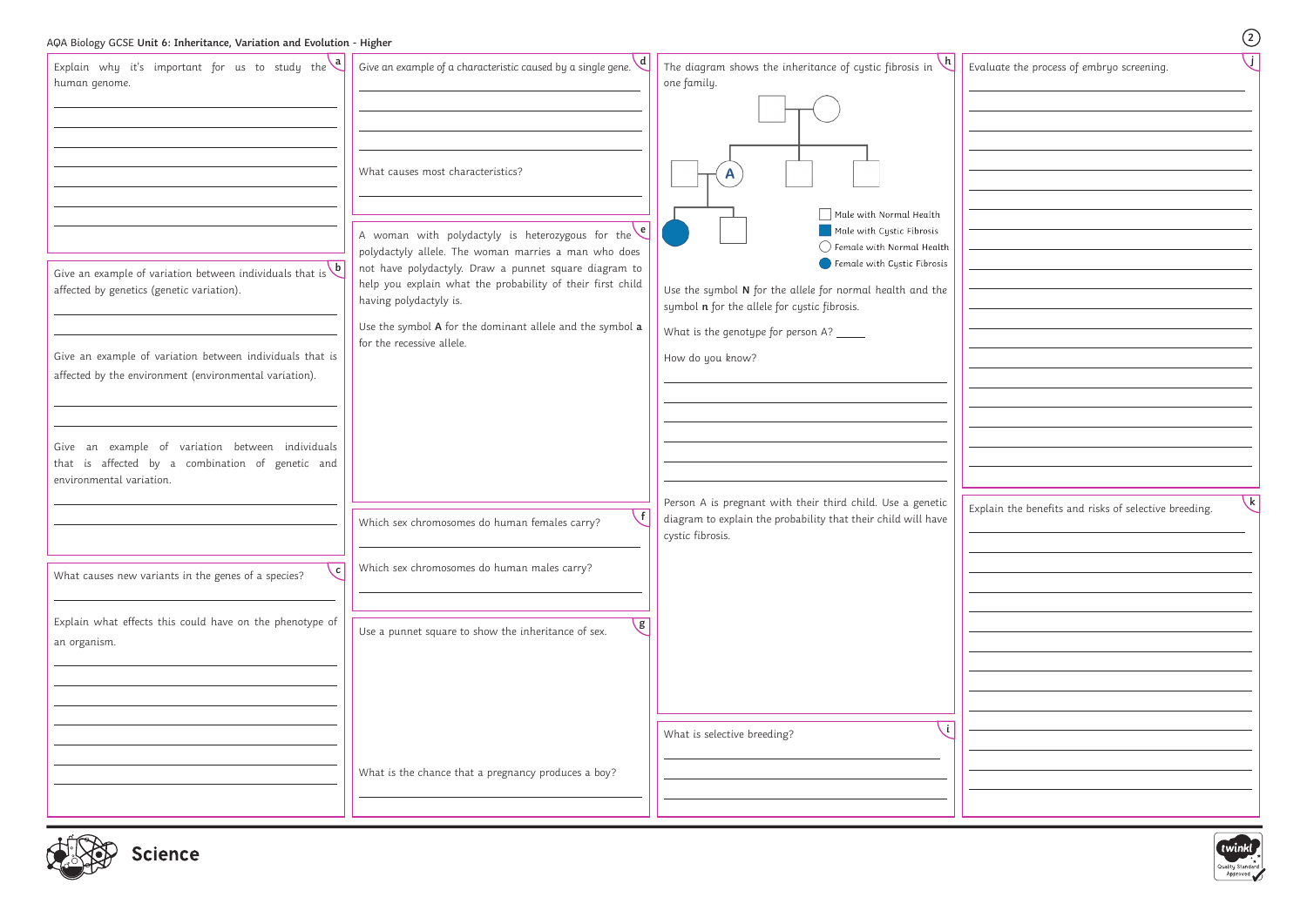| AQA Biology GCSE Unit 6: Inheritance, Variation and Evolution - Higher                                                                                                                                                                                                                                                                                                                                                                                                                |                                                                                                                                                                                                                                                                                                                                                                                                                                                                                                                                           |                                                                                                                                                                                                                                                                                                                                                                                                                 | $\circled{2}$                                                         |
|---------------------------------------------------------------------------------------------------------------------------------------------------------------------------------------------------------------------------------------------------------------------------------------------------------------------------------------------------------------------------------------------------------------------------------------------------------------------------------------|-------------------------------------------------------------------------------------------------------------------------------------------------------------------------------------------------------------------------------------------------------------------------------------------------------------------------------------------------------------------------------------------------------------------------------------------------------------------------------------------------------------------------------------------|-----------------------------------------------------------------------------------------------------------------------------------------------------------------------------------------------------------------------------------------------------------------------------------------------------------------------------------------------------------------------------------------------------------------|-----------------------------------------------------------------------|
| Explain why it's important for us to study the $\begin{bmatrix} a \\ b \end{bmatrix}$<br>human genome.<br>Give an example of variation between individuals that is $\mathbf b$<br>affected by genetics (genetic variation).<br>Give an example of variation between individuals that is<br>affected by the environment (environmental variation).<br>Give an example of variation between individuals<br>that is affected by a combination of genetic and<br>environmental variation. | Give an example of a characteristic caused by a single gene. $\mathbf{a}$<br>What causes most characteristics?<br>A woman with polydactyly is heterozygous for the $\left\{ \begin{array}{ccc} \mathbf{e} & & \\ \end{array} \right\}$<br>polydactyly allele. The woman marries a man who does<br>not have polydactyly. Draw a punnet square diagram to<br>help you explain what the probability of their first child<br>having polydactyly is.<br>Use the symbol A for the dominant allele and the symbol a<br>for the recessive allele. | The diagram shows the inheritance of cystic fibrosis in $\vee$<br>one family.<br>$\Box$ Male with Normal Health<br>Male with Cystic Fibrosis<br>$\bigcirc$ Female with Normal Health<br>$\blacksquare$ Female with Cystic Fibrosis<br>Use the symbol N for the allele for normal health and the<br>symbol n for the allele for cystic fibrosis.<br>What is the genotype for person A? _____<br>How do you know? | Evaluate the process of embryo screening.                             |
|                                                                                                                                                                                                                                                                                                                                                                                                                                                                                       | $\sqrt{1}$<br>Which sex chromosomes do human females carry?                                                                                                                                                                                                                                                                                                                                                                                                                                                                               | Person A is pregnant with their third child. Use a genetic<br>diagram to explain the probability that their child will have<br>cystic fibrosis.                                                                                                                                                                                                                                                                 | $\mathsf{k}$<br>Explain the benefits and risks of selective breeding. |
| c.<br>What causes new variants in the genes of a species?                                                                                                                                                                                                                                                                                                                                                                                                                             | Which sex chromosomes do human males carry?                                                                                                                                                                                                                                                                                                                                                                                                                                                                                               |                                                                                                                                                                                                                                                                                                                                                                                                                 |                                                                       |
| Explain what effects this could have on the phenotype of<br>an organism.                                                                                                                                                                                                                                                                                                                                                                                                              | $\mathsf{g}$<br>Use a punnet square to show the inheritance of sex.                                                                                                                                                                                                                                                                                                                                                                                                                                                                       |                                                                                                                                                                                                                                                                                                                                                                                                                 |                                                                       |
|                                                                                                                                                                                                                                                                                                                                                                                                                                                                                       | What is the chance that a pregnancy produces a boy?                                                                                                                                                                                                                                                                                                                                                                                                                                                                                       | What is selective breeding?                                                                                                                                                                                                                                                                                                                                                                                     |                                                                       |
| $L^{\text{H}}(\mathbb{R})$                                                                                                                                                                                                                                                                                                                                                                                                                                                            |                                                                                                                                                                                                                                                                                                                                                                                                                                                                                                                                           |                                                                                                                                                                                                                                                                                                                                                                                                                 |                                                                       |



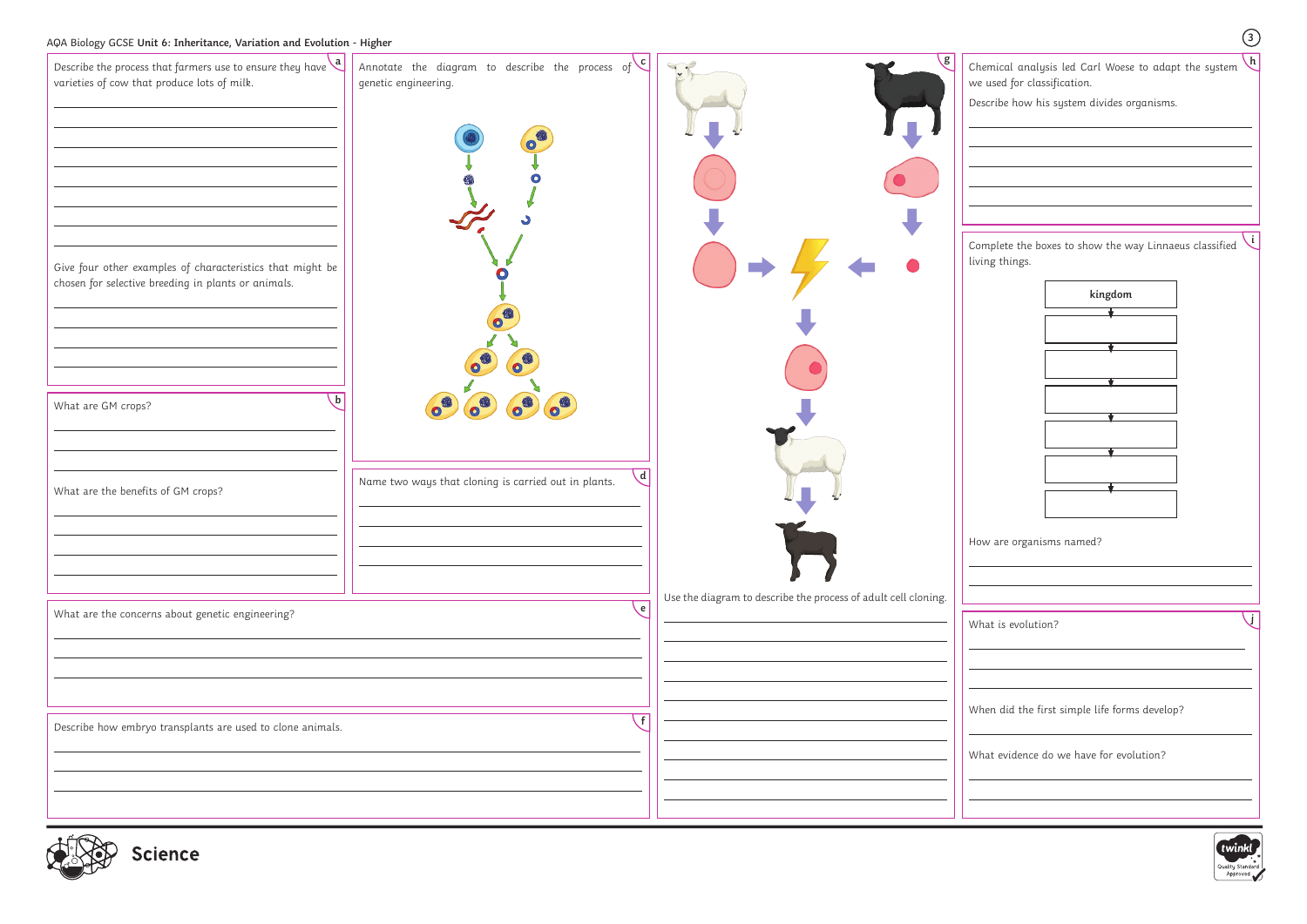

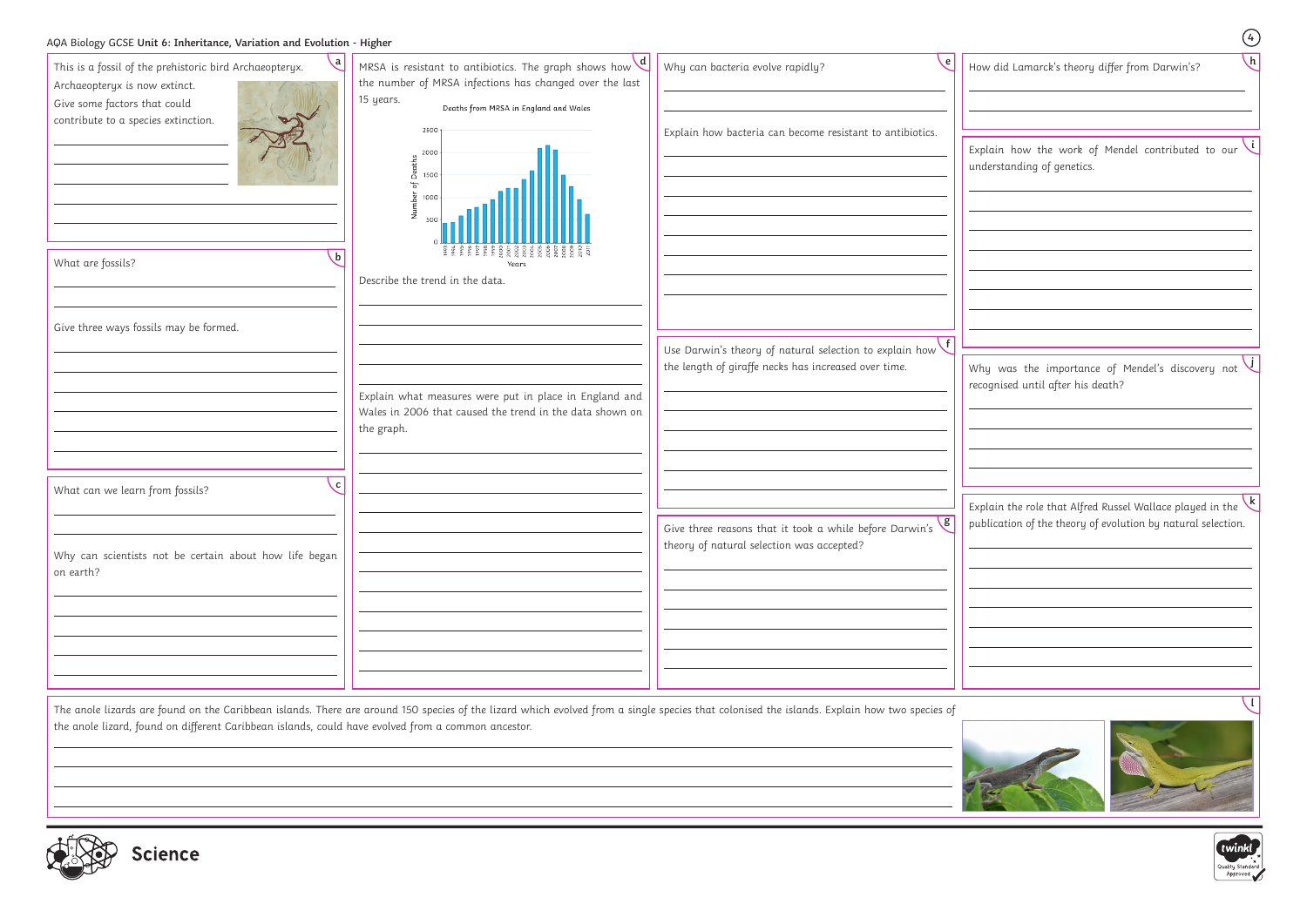|                                                                                                                                                                                                                                                                                                          |                                                                                                                                                                                                                                                                                                                                                                                                                    |                                                                                                                                                                                                                                                    | $\bigcirc$                                                                                                                                                                                                                                         |
|----------------------------------------------------------------------------------------------------------------------------------------------------------------------------------------------------------------------------------------------------------------------------------------------------------|--------------------------------------------------------------------------------------------------------------------------------------------------------------------------------------------------------------------------------------------------------------------------------------------------------------------------------------------------------------------------------------------------------------------|----------------------------------------------------------------------------------------------------------------------------------------------------------------------------------------------------------------------------------------------------|----------------------------------------------------------------------------------------------------------------------------------------------------------------------------------------------------------------------------------------------------|
| AQA Biology GCSE Unit 6: Inheritance, Variation and Evolution - Higher<br>This is a fossil of the prehistoric bird Archaeopteryx.<br>Archaeopteryx is now extinct.<br>Give some factors that could<br>contribute to a species extinction.<br>What are fossils?<br>Give three ways fossils may be formed. | MRSA is resistant to antibiotics. The graph shows how $\mathbf{d}$<br>the number of MRSA infections has changed over the last<br>15 years.<br>Deaths from MRSA in England and Wales<br>2500<br>of Deaths<br>05 1500<br>1000<br>mbe<br>Years<br>Describe the trend in the data.<br>Explain what measures were put in place in England and<br>Wales in 2006 that caused the trend in the data shown on<br>the graph. | Why can bacteria evolve rapidly?<br>Explain how bacteria can become resistant to antibiotics.<br>Use Darwin's theory of natural selection to explain how $\begin{pmatrix} f \end{pmatrix}$<br>the length of giraffe necks has increased over time. | $\sqrt{h}$<br>How did Lamarck's theory differ from Darwin's?<br>Explain how the work of Mendel contributed to our<br>understanding of genetics.<br>Why was the importance of Mendel's discovery not $\bigcup$<br>recognised until after his death? |
| c.<br>What can we learn from fossils?<br>Why can scientists not be certain about how life began<br>on earth?                                                                                                                                                                                             |                                                                                                                                                                                                                                                                                                                                                                                                                    | Give three reasons that it took a while before Darwin's $\sqrt{g}$<br>theory of natural selection was accepted?                                                                                                                                    | $\sqrt{k}$<br>Explain the role that Alfred Russel Wallace played in the<br>publication of the theory of evolution by natural selection.                                                                                                            |
| the anole lizard, found on different Caribbean islands, could have evolved from a common ancestor.                                                                                                                                                                                                       |                                                                                                                                                                                                                                                                                                                                                                                                                    | The anole lizards are found on the Caribbean islands. There are around 150 species of the lizard which evolved from a single species that colonised the islands. Explain how two species of                                                        |                                                                                                                                                                                                                                                    |
| dic<br><b>Science</b>                                                                                                                                                                                                                                                                                    |                                                                                                                                                                                                                                                                                                                                                                                                                    |                                                                                                                                                                                                                                                    | twinkl                                                                                                                                                                                                                                             |





Quality Standard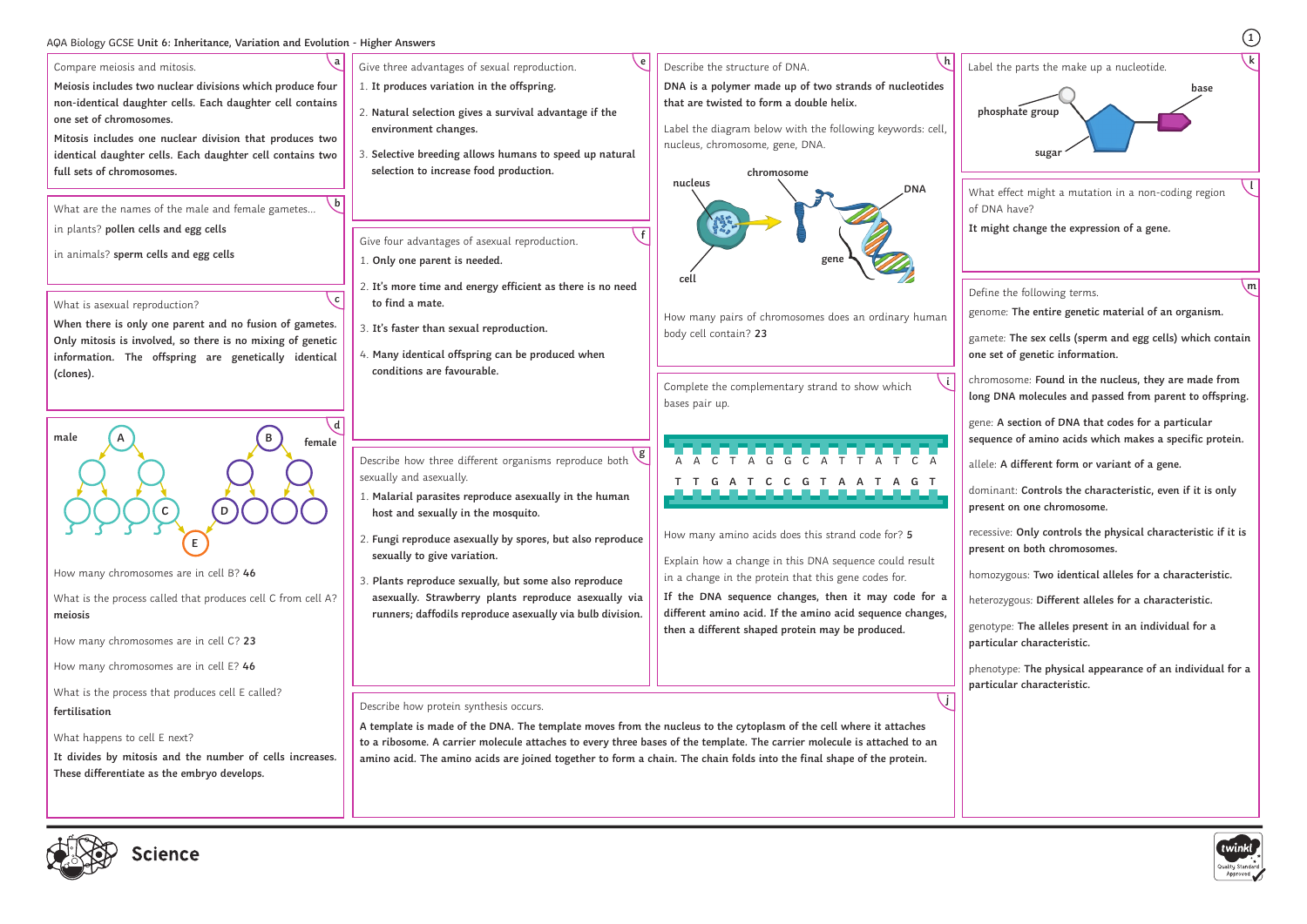# **<sup>1</sup>** AQA Biology GCSE **Unit 6: Inheritance, Variation and Evolution - Higher Answers**





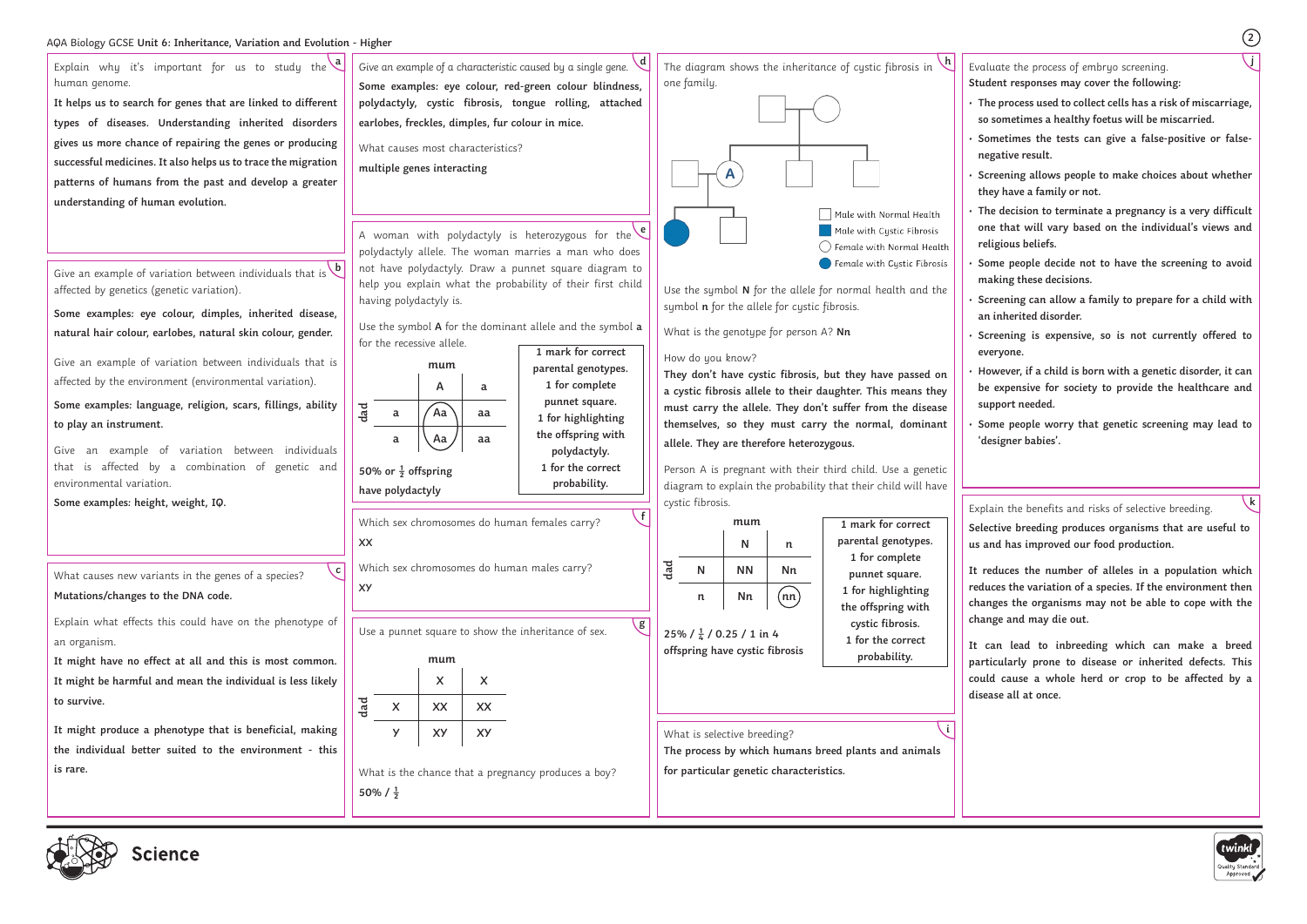

cience

- Evaluate the process of embryo screening.
- **Student responses may cover the following:**
- **The process used to collect cells has a risk of miscarriage, so sometimes a healthy foetus will be miscarried.**
- **Sometimes the tests can give a false-positive or falsenegative result.**
- **Screening allows people to make choices about whether they have a family or not.**
- **The decision to terminate a pregnancy is a very difficult one that will vary based on the individual's views and religious beliefs.**
- **Some people decide not to have the screening to avoid making these decisions.**
- **Screening can allow a family to prepare for a child with an inherited disorder.**
- **Screening is expensive, so is not currently offered to everyone.**
- **However, if a child is born with a genetic disorder, it can be expensive for society to provide the healthcare and support needed.**
- **Some people worry that genetic screening may lead to 'designer babies'.**

Explain the benefits and risks of selective breeding.

**Selective breeding produces organisms that are useful to us and has improved our food production.**

**It reduces the number of alleles in a population which reduces the variation of a species. If the environment then changes the organisms may not be able to cope with the change and may die out.**

**It can lead to inbreeding which can make a breed particularly prone to disease or inherited defects. This could cause a whole herd or crop to be affected by a disease all at once.**



**j**

**k**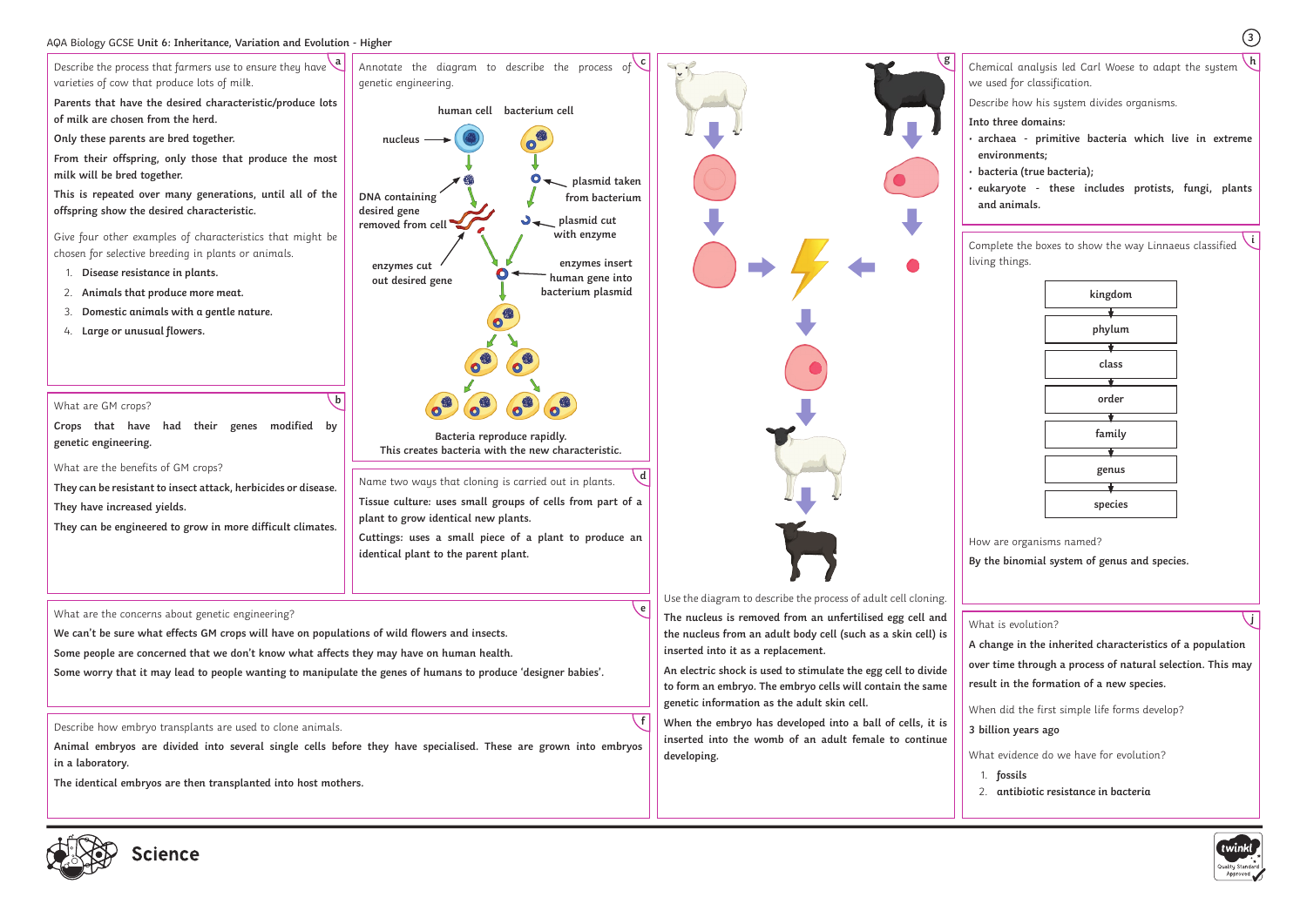### AQA Biology GCSE **Unit 6: Inheritance, Variation and Evolution - Higher <sup>3</sup>**

Chemical analysis led Carl Woese to adapt the system **g h** we used for classification. Describe how his system divides organisms. **Into three domains:** • **archaea - primitive bacteria which live in extreme environments;** • **bacteria (true bacteria);** • **eukaryote - these includes protists, fungi, plants and animals.**

Complete the boxes to show the way Linnaeus classified living things.

How are organisms named?

**By the binomial system of genus and species.**

What is evolution?





**A change in the inherited characteristics of a population over time through a process of natural selection. This may result in the formation of a new species.** 

When did the first simple life forms develop?

# **3 billion years ago**

What evidence do we have for evolution?

1. **fossils** 2. **antibiotic resistance in bacteria**



**i**